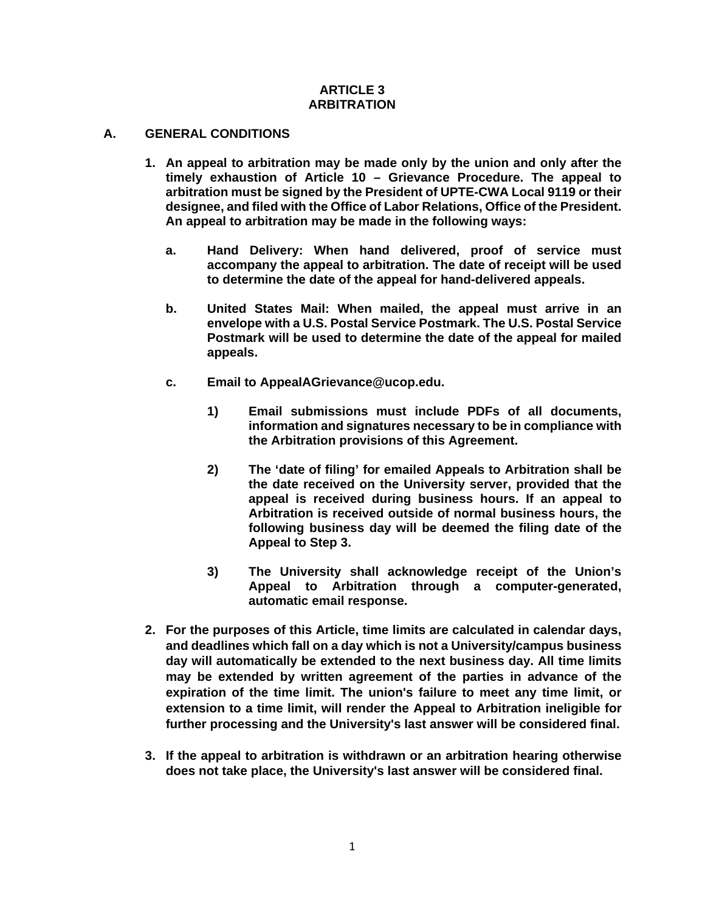#### **ARTICLE 3 ARBITRATION**

#### **A. GENERAL CONDITIONS**

- **1. An appeal to arbitration may be made only by the union and only after the timely exhaustion of Article 10 – Grievance Procedure. The appeal to arbitration must be signed by the President of UPTE-CWA Local 9119 or their designee, and filed with the Office of Labor Relations, Office of the President. An appeal to arbitration may be made in the following ways:**
	- **a. Hand Delivery: When hand delivered, proof of service must accompany the appeal to arbitration. The date of receipt will be used to determine the date of the appeal for hand-delivered appeals.**
	- **b. United States Mail: When mailed, the appeal must arrive in an envelope with a U.S. Postal Service Postmark. The U.S. Postal Service Postmark will be used to determine the date of the appeal for mailed appeals.**
	- **c. Email to AppealAGrievance@ucop.edu.**
		- **1) Email submissions must include PDFs of all documents, information and signatures necessary to be in compliance with the Arbitration provisions of this Agreement.**
		- **2) The 'date of filing' for emailed Appeals to Arbitration shall be the date received on the University server, provided that the appeal is received during business hours. If an appeal to Arbitration is received outside of normal business hours, the following business day will be deemed the filing date of the Appeal to Step 3.**
		- **3) The University shall acknowledge receipt of the Union's Appeal to Arbitration through a computer-generated, automatic email response.**
- **2. For the purposes of this Article, time limits are calculated in calendar days, and deadlines which fall on a day which is not a University/campus business day will automatically be extended to the next business day. All time limits may be extended by written agreement of the parties in advance of the expiration of the time limit. The union's failure to meet any time limit, or extension to a time limit, will render the Appeal to Arbitration ineligible for further processing and the University's last answer will be considered final.**
- **3. If the appeal to arbitration is withdrawn or an arbitration hearing otherwise does not take place, the University's last answer will be considered final.**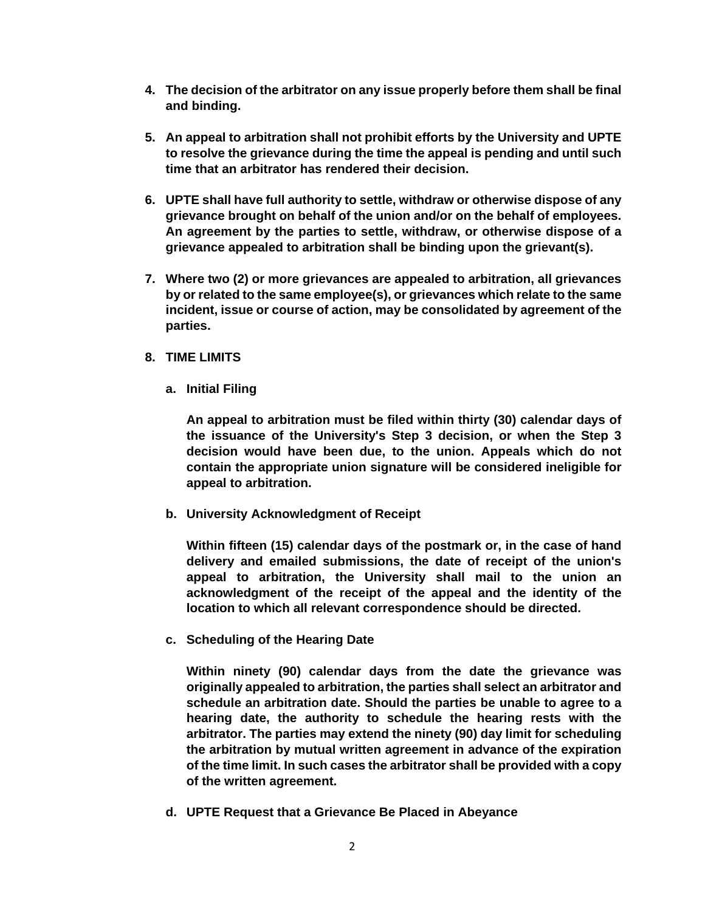- **4. The decision of the arbitrator on any issue properly before them shall be final and binding.**
- **5. An appeal to arbitration shall not prohibit efforts by the University and UPTE to resolve the grievance during the time the appeal is pending and until such time that an arbitrator has rendered their decision.**
- **6. UPTE shall have full authority to settle, withdraw or otherwise dispose of any grievance brought on behalf of the union and/or on the behalf of employees. An agreement by the parties to settle, withdraw, or otherwise dispose of a grievance appealed to arbitration shall be binding upon the grievant(s).**
- **7. Where two (2) or more grievances are appealed to arbitration, all grievances by or related to the same employee(s), or grievances which relate to the same incident, issue or course of action, may be consolidated by agreement of the parties.**
- **8. TIME LIMITS**
	- **a. Initial Filing**

**An appeal to arbitration must be filed within thirty (30) calendar days of the issuance of the University's Step 3 decision, or when the Step 3 decision would have been due, to the union. Appeals which do not contain the appropriate union signature will be considered ineligible for appeal to arbitration.**

**b. University Acknowledgment of Receipt**

**Within fifteen (15) calendar days of the postmark or, in the case of hand delivery and emailed submissions, the date of receipt of the union's appeal to arbitration, the University shall mail to the union an acknowledgment of the receipt of the appeal and the identity of the location to which all relevant correspondence should be directed.**

**c. Scheduling of the Hearing Date**

**Within ninety (90) calendar days from the date the grievance was originally appealed to arbitration, the parties shall select an arbitrator and schedule an arbitration date. Should the parties be unable to agree to a hearing date, the authority to schedule the hearing rests with the arbitrator. The parties may extend the ninety (90) day limit for scheduling the arbitration by mutual written agreement in advance of the expiration of the time limit. In such cases the arbitrator shall be provided with a copy of the written agreement.**

**d. UPTE Request that a Grievance Be Placed in Abeyance**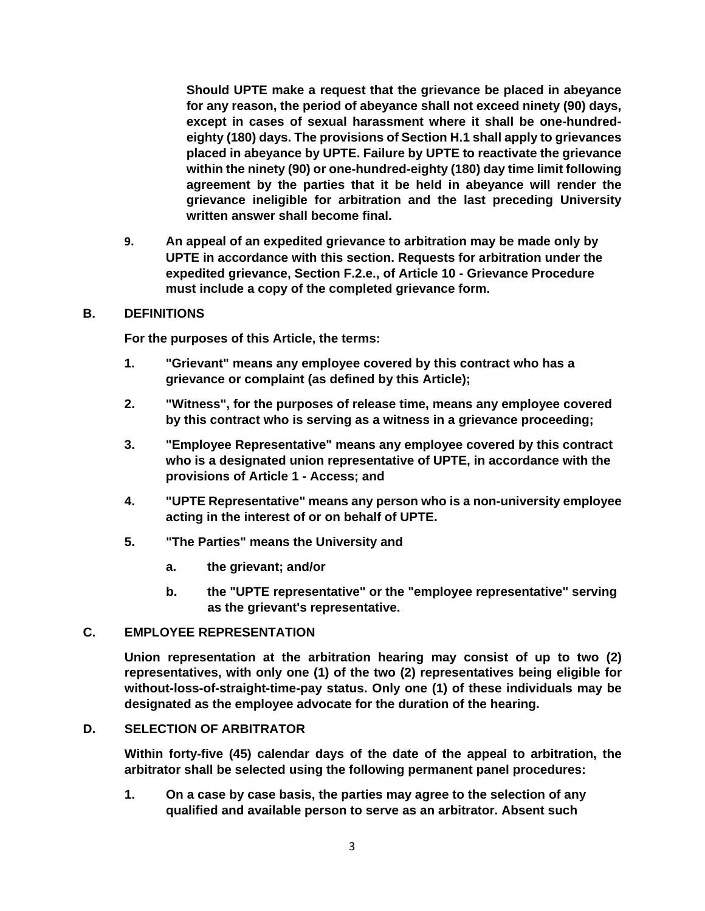**Should UPTE make a request that the grievance be placed in abeyance for any reason, the period of abeyance shall not exceed ninety (90) days, except in cases of sexual harassment where it shall be one-hundredeighty (180) days. The provisions of Section H.1 shall apply to grievances placed in abeyance by UPTE. Failure by UPTE to reactivate the grievance within the ninety (90) or one-hundred-eighty (180) day time limit following agreement by the parties that it be held in abeyance will render the grievance ineligible for arbitration and the last preceding University written answer shall become final.**

**9. An appeal of an expedited grievance to arbitration may be made only by UPTE in accordance with this section. Requests for arbitration under the expedited grievance, Section F.2.e., of Article 10 - Grievance Procedure must include a copy of the completed grievance form.**

#### **B. DEFINITIONS**

**For the purposes of this Article, the terms:**

- **1. "Grievant" means any employee covered by this contract who has a grievance or complaint (as defined by this Article);**
- **2. "Witness", for the purposes of release time, means any employee covered by this contract who is serving as a witness in a grievance proceeding;**
- **3. "Employee Representative" means any employee covered by this contract who is a designated union representative of UPTE, in accordance with the provisions of Article 1 - Access; and**
- **4. "UPTE Representative" means any person who is a non-university employee acting in the interest of or on behalf of UPTE.**
- **5. "The Parties" means the University and**
	- **a. the grievant; and/or**
	- **b. the "UPTE representative" or the "employee representative" serving as the grievant's representative.**

#### **C. EMPLOYEE REPRESENTATION**

**Union representation at the arbitration hearing may consist of up to two (2) representatives, with only one (1) of the two (2) representatives being eligible for without-loss-of-straight-time-pay status. Only one (1) of these individuals may be designated as the employee advocate for the duration of the hearing.**

#### **D. SELECTION OF ARBITRATOR**

**Within forty-five (45) calendar days of the date of the appeal to arbitration, the arbitrator shall be selected using the following permanent panel procedures:**

**1. On a case by case basis, the parties may agree to the selection of any qualified and available person to serve as an arbitrator. Absent such**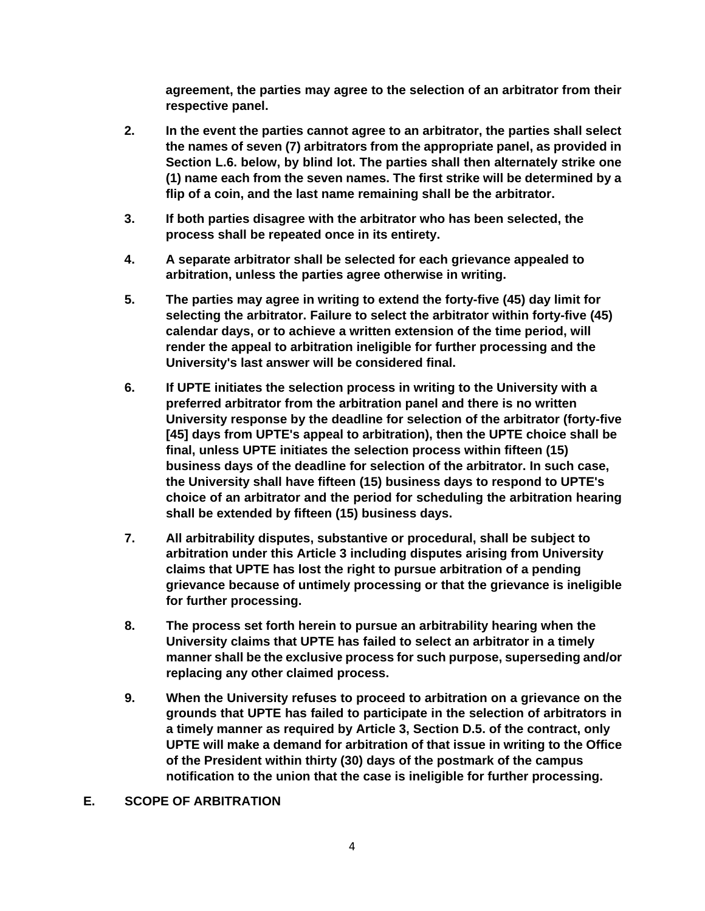**agreement, the parties may agree to the selection of an arbitrator from their respective panel.**

- **2. In the event the parties cannot agree to an arbitrator, the parties shall select the names of seven (7) arbitrators from the appropriate panel, as provided in Section L.6. below, by blind lot. The parties shall then alternately strike one (1) name each from the seven names. The first strike will be determined by a flip of a coin, and the last name remaining shall be the arbitrator.**
- **3. If both parties disagree with the arbitrator who has been selected, the process shall be repeated once in its entirety.**
- **4. A separate arbitrator shall be selected for each grievance appealed to arbitration, unless the parties agree otherwise in writing.**
- **5. The parties may agree in writing to extend the forty-five (45) day limit for selecting the arbitrator. Failure to select the arbitrator within forty-five (45) calendar days, or to achieve a written extension of the time period, will render the appeal to arbitration ineligible for further processing and the University's last answer will be considered final.**
- **6. If UPTE initiates the selection process in writing to the University with a preferred arbitrator from the arbitration panel and there is no written University response by the deadline for selection of the arbitrator (forty-five [45] days from UPTE's appeal to arbitration), then the UPTE choice shall be final, unless UPTE initiates the selection process within fifteen (15) business days of the deadline for selection of the arbitrator. In such case, the University shall have fifteen (15) business days to respond to UPTE's choice of an arbitrator and the period for scheduling the arbitration hearing shall be extended by fifteen (15) business days.**
- **7. All arbitrability disputes, substantive or procedural, shall be subject to arbitration under this Article 3 including disputes arising from University claims that UPTE has lost the right to pursue arbitration of a pending grievance because of untimely processing or that the grievance is ineligible for further processing.**
- **8. The process set forth herein to pursue an arbitrability hearing when the University claims that UPTE has failed to select an arbitrator in a timely manner shall be the exclusive process for such purpose, superseding and/or replacing any other claimed process.**
- **9. When the University refuses to proceed to arbitration on a grievance on the grounds that UPTE has failed to participate in the selection of arbitrators in a timely manner as required by Article 3, Section D.5. of the contract, only UPTE will make a demand for arbitration of that issue in writing to the Office of the President within thirty (30) days of the postmark of the campus notification to the union that the case is ineligible for further processing.**

### **E. SCOPE OF ARBITRATION**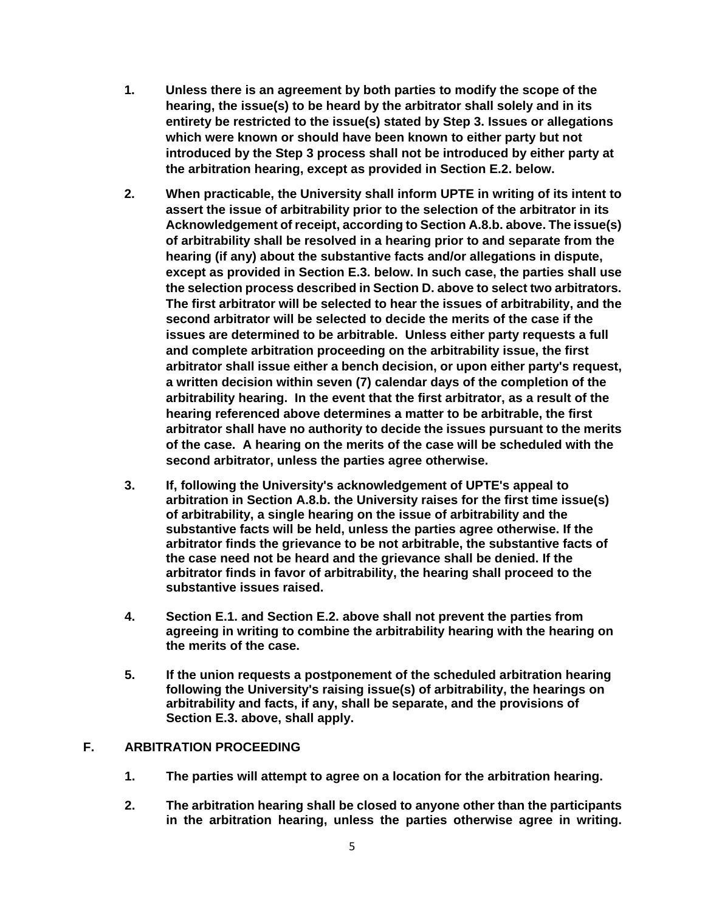- **1. Unless there is an agreement by both parties to modify the scope of the hearing, the issue(s) to be heard by the arbitrator shall solely and in its entirety be restricted to the issue(s) stated by Step 3. Issues or allegations which were known or should have been known to either party but not introduced by the Step 3 process shall not be introduced by either party at the arbitration hearing, except as provided in Section E.2. below.**
- **2. When practicable, the University shall inform UPTE in writing of its intent to assert the issue of arbitrability prior to the selection of the arbitrator in its Acknowledgement of receipt, according to Section A.8.b. above. The issue(s) of arbitrability shall be resolved in a hearing prior to and separate from the hearing (if any) about the substantive facts and/or allegations in dispute, except as provided in Section E.3. below. In such case, the parties shall use the selection process described in Section D. above to select two arbitrators. The first arbitrator will be selected to hear the issues of arbitrability, and the second arbitrator will be selected to decide the merits of the case if the issues are determined to be arbitrable. Unless either party requests a full and complete arbitration proceeding on the arbitrability issue, the first arbitrator shall issue either a bench decision, or upon either party's request, a written decision within seven (7) calendar days of the completion of the arbitrability hearing. In the event that the first arbitrator, as a result of the hearing referenced above determines a matter to be arbitrable, the first arbitrator shall have no authority to decide the issues pursuant to the merits of the case. A hearing on the merits of the case will be scheduled with the second arbitrator, unless the parties agree otherwise.**
- **3. If, following the University's acknowledgement of UPTE's appeal to arbitration in Section A.8.b. the University raises for the first time issue(s) of arbitrability, a single hearing on the issue of arbitrability and the substantive facts will be held, unless the parties agree otherwise. If the arbitrator finds the grievance to be not arbitrable, the substantive facts of the case need not be heard and the grievance shall be denied. If the arbitrator finds in favor of arbitrability, the hearing shall proceed to the substantive issues raised.**
- **4. Section E.1. and Section E.2. above shall not prevent the parties from agreeing in writing to combine the arbitrability hearing with the hearing on the merits of the case.**
- **5. If the union requests a postponement of the scheduled arbitration hearing following the University's raising issue(s) of arbitrability, the hearings on arbitrability and facts, if any, shall be separate, and the provisions of Section E.3. above, shall apply.**

## **F. ARBITRATION PROCEEDING**

- **1. The parties will attempt to agree on a location for the arbitration hearing.**
- **2. The arbitration hearing shall be closed to anyone other than the participants in the arbitration hearing, unless the parties otherwise agree in writing.**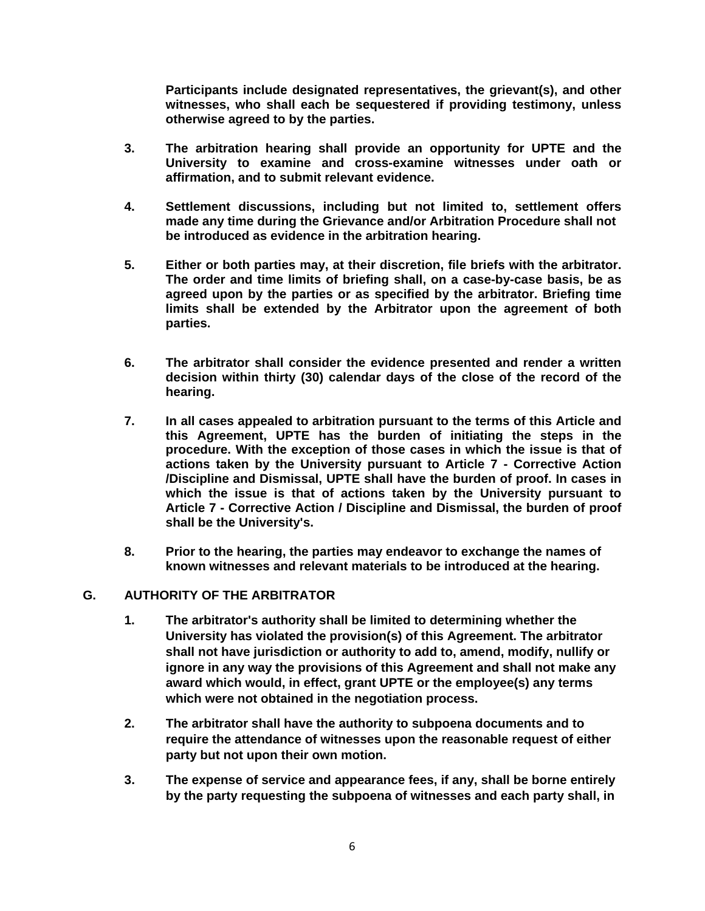**Participants include designated representatives, the grievant(s), and other witnesses, who shall each be sequestered if providing testimony, unless otherwise agreed to by the parties.**

- **3. The arbitration hearing shall provide an opportunity for UPTE and the University to examine and cross-examine witnesses under oath or affirmation, and to submit relevant evidence.**
- **4. Settlement discussions, including but not limited to, settlement offers made any time during the Grievance and/or Arbitration Procedure shall not be introduced as evidence in the arbitration hearing.**
- **5. Either or both parties may, at their discretion, file briefs with the arbitrator. The order and time limits of briefing shall, on a case-by-case basis, be as agreed upon by the parties or as specified by the arbitrator. Briefing time limits shall be extended by the Arbitrator upon the agreement of both parties.**
- **6. The arbitrator shall consider the evidence presented and render a written decision within thirty (30) calendar days of the close of the record of the hearing.**
- **7. In all cases appealed to arbitration pursuant to the terms of this Article and this Agreement, UPTE has the burden of initiating the steps in the procedure. With the exception of those cases in which the issue is that of actions taken by the University pursuant to Article 7 - Corrective Action /Discipline and Dismissal, UPTE shall have the burden of proof. In cases in which the issue is that of actions taken by the University pursuant to Article 7 - Corrective Action / Discipline and Dismissal, the burden of proof shall be the University's.**
- **8. Prior to the hearing, the parties may endeavor to exchange the names of known witnesses and relevant materials to be introduced at the hearing.**

### **G. AUTHORITY OF THE ARBITRATOR**

- **1. The arbitrator's authority shall be limited to determining whether the University has violated the provision(s) of this Agreement. The arbitrator shall not have jurisdiction or authority to add to, amend, modify, nullify or ignore in any way the provisions of this Agreement and shall not make any award which would, in effect, grant UPTE or the employee(s) any terms which were not obtained in the negotiation process.**
- **2. The arbitrator shall have the authority to subpoena documents and to require the attendance of witnesses upon the reasonable request of either party but not upon their own motion.**
- **3. The expense of service and appearance fees, if any, shall be borne entirely by the party requesting the subpoena of witnesses and each party shall, in**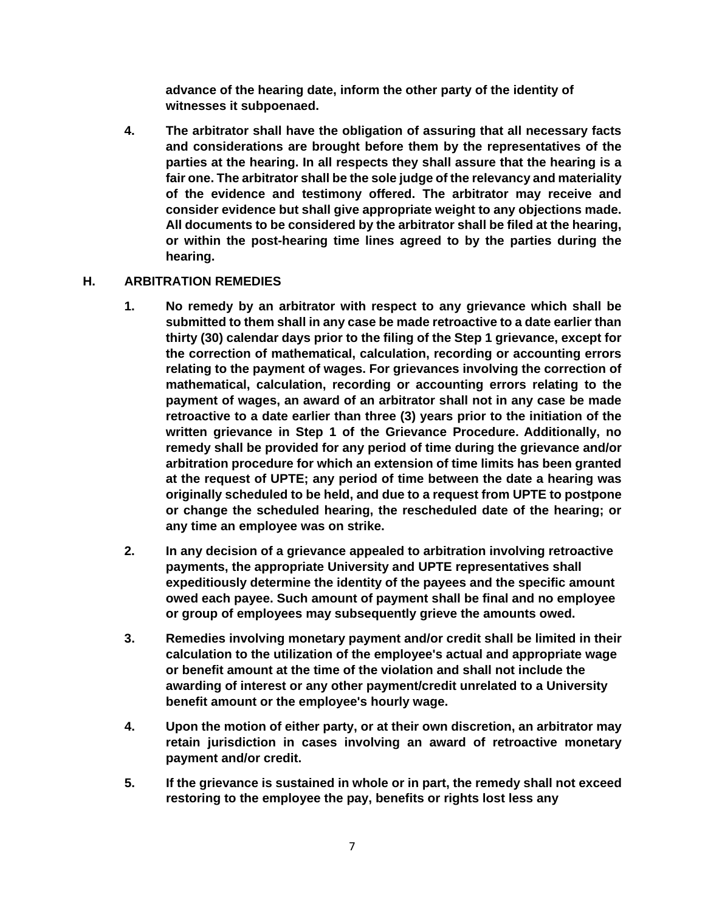**advance of the hearing date, inform the other party of the identity of witnesses it subpoenaed.**

**4. The arbitrator shall have the obligation of assuring that all necessary facts and considerations are brought before them by the representatives of the parties at the hearing. In all respects they shall assure that the hearing is a fair one. The arbitrator shall be the sole judge of the relevancy and materiality of the evidence and testimony offered. The arbitrator may receive and consider evidence but shall give appropriate weight to any objections made. All documents to be considered by the arbitrator shall be filed at the hearing, or within the post-hearing time lines agreed to by the parties during the hearing.**

## **H. ARBITRATION REMEDIES**

- **1. No remedy by an arbitrator with respect to any grievance which shall be submitted to them shall in any case be made retroactive to a date earlier than thirty (30) calendar days prior to the filing of the Step 1 grievance, except for the correction of mathematical, calculation, recording or accounting errors relating to the payment of wages. For grievances involving the correction of mathematical, calculation, recording or accounting errors relating to the payment of wages, an award of an arbitrator shall not in any case be made retroactive to a date earlier than three (3) years prior to the initiation of the written grievance in Step 1 of the Grievance Procedure. Additionally, no remedy shall be provided for any period of time during the grievance and/or arbitration procedure for which an extension of time limits has been granted at the request of UPTE; any period of time between the date a hearing was originally scheduled to be held, and due to a request from UPTE to postpone or change the scheduled hearing, the rescheduled date of the hearing; or any time an employee was on strike.**
- **2. In any decision of a grievance appealed to arbitration involving retroactive payments, the appropriate University and UPTE representatives shall expeditiously determine the identity of the payees and the specific amount owed each payee. Such amount of payment shall be final and no employee or group of employees may subsequently grieve the amounts owed.**
- **3. Remedies involving monetary payment and/or credit shall be limited in their calculation to the utilization of the employee's actual and appropriate wage or benefit amount at the time of the violation and shall not include the awarding of interest or any other payment/credit unrelated to a University benefit amount or the employee's hourly wage.**
- **4. Upon the motion of either party, or at their own discretion, an arbitrator may retain jurisdiction in cases involving an award of retroactive monetary payment and/or credit.**
- **5. If the grievance is sustained in whole or in part, the remedy shall not exceed restoring to the employee the pay, benefits or rights lost less any**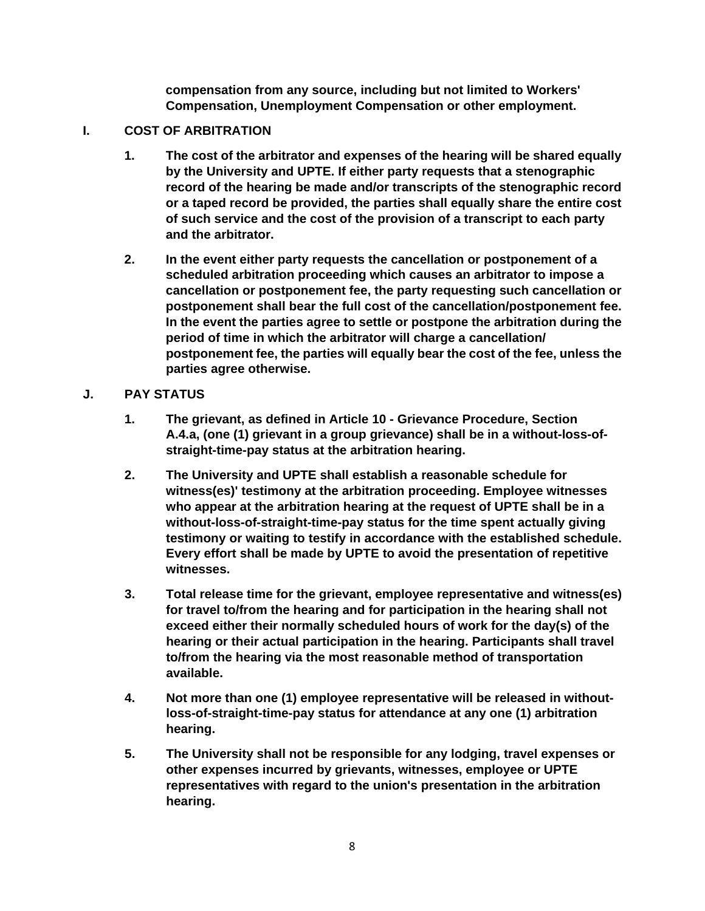**compensation from any source, including but not limited to Workers' Compensation, Unemployment Compensation or other employment.**

# **I. COST OF ARBITRATION**

- **1. The cost of the arbitrator and expenses of the hearing will be shared equally by the University and UPTE. If either party requests that a stenographic record of the hearing be made and/or transcripts of the stenographic record or a taped record be provided, the parties shall equally share the entire cost of such service and the cost of the provision of a transcript to each party and the arbitrator.**
- **2. In the event either party requests the cancellation or postponement of a scheduled arbitration proceeding which causes an arbitrator to impose a cancellation or postponement fee, the party requesting such cancellation or postponement shall bear the full cost of the cancellation/postponement fee. In the event the parties agree to settle or postpone the arbitration during the period of time in which the arbitrator will charge a cancellation/ postponement fee, the parties will equally bear the cost of the fee, unless the parties agree otherwise.**

## **J. PAY STATUS**

- **1. The grievant, as defined in Article 10 - Grievance Procedure, Section A.4.a, (one (1) grievant in a group grievance) shall be in a without-loss-ofstraight-time-pay status at the arbitration hearing.**
- **2. The University and UPTE shall establish a reasonable schedule for witness(es)' testimony at the arbitration proceeding. Employee witnesses who appear at the arbitration hearing at the request of UPTE shall be in a without-loss-of-straight-time-pay status for the time spent actually giving testimony or waiting to testify in accordance with the established schedule. Every effort shall be made by UPTE to avoid the presentation of repetitive witnesses.**
- **3. Total release time for the grievant, employee representative and witness(es) for travel to/from the hearing and for participation in the hearing shall not exceed either their normally scheduled hours of work for the day(s) of the hearing or their actual participation in the hearing. Participants shall travel to/from the hearing via the most reasonable method of transportation available.**
- **4. Not more than one (1) employee representative will be released in withoutloss-of-straight-time-pay status for attendance at any one (1) arbitration hearing.**
- **5. The University shall not be responsible for any lodging, travel expenses or other expenses incurred by grievants, witnesses, employee or UPTE representatives with regard to the union's presentation in the arbitration hearing.**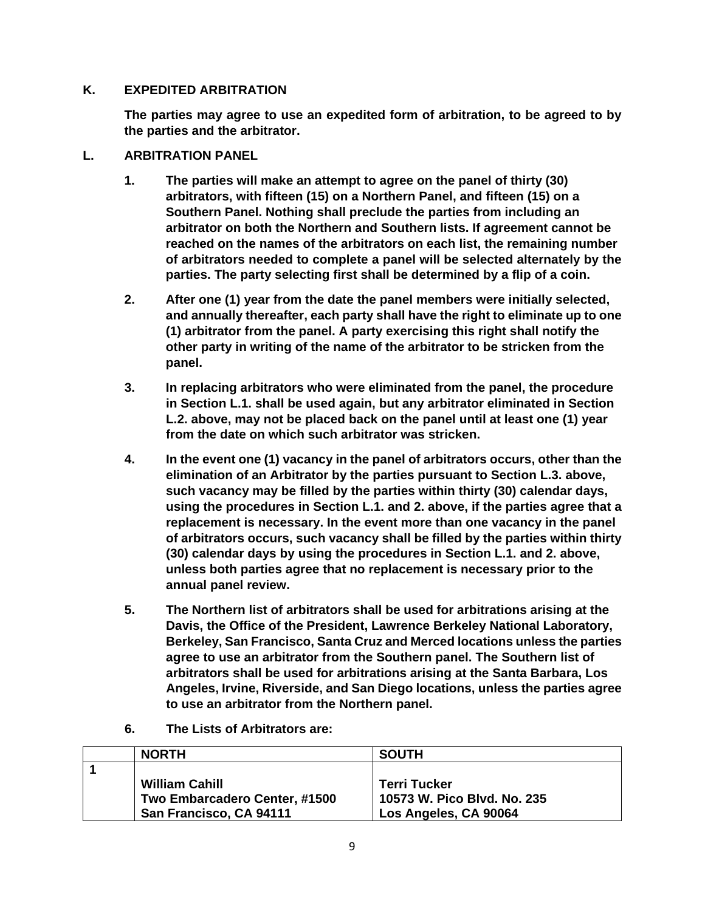### **K. EXPEDITED ARBITRATION**

**The parties may agree to use an expedited form of arbitration, to be agreed to by the parties and the arbitrator.**

### **L. ARBITRATION PANEL**

- **1. The parties will make an attempt to agree on the panel of thirty (30) arbitrators, with fifteen (15) on a Northern Panel, and fifteen (15) on a Southern Panel. Nothing shall preclude the parties from including an arbitrator on both the Northern and Southern lists. If agreement cannot be reached on the names of the arbitrators on each list, the remaining number of arbitrators needed to complete a panel will be selected alternately by the parties. The party selecting first shall be determined by a flip of a coin.**
- **2. After one (1) year from the date the panel members were initially selected, and annually thereafter, each party shall have the right to eliminate up to one (1) arbitrator from the panel. A party exercising this right shall notify the other party in writing of the name of the arbitrator to be stricken from the panel.**
- **3. In replacing arbitrators who were eliminated from the panel, the procedure in Section L.1. shall be used again, but any arbitrator eliminated in Section L.2. above, may not be placed back on the panel until at least one (1) year from the date on which such arbitrator was stricken.**
- **4. In the event one (1) vacancy in the panel of arbitrators occurs, other than the elimination of an Arbitrator by the parties pursuant to Section L.3. above, such vacancy may be filled by the parties within thirty (30) calendar days, using the procedures in Section L.1. and 2. above, if the parties agree that a replacement is necessary. In the event more than one vacancy in the panel of arbitrators occurs, such vacancy shall be filled by the parties within thirty (30) calendar days by using the procedures in Section L.1. and 2. above, unless both parties agree that no replacement is necessary prior to the annual panel review.**
- **5. The Northern list of arbitrators shall be used for arbitrations arising at the Davis, the Office of the President, Lawrence Berkeley National Laboratory, Berkeley, San Francisco, Santa Cruz and Merced locations unless the parties agree to use an arbitrator from the Southern panel. The Southern list of arbitrators shall be used for arbitrations arising at the Santa Barbara, Los Angeles, Irvine, Riverside, and San Diego locations, unless the parties agree to use an arbitrator from the Northern panel.**
- **6. The Lists of Arbitrators are:**

| <b>NORTH</b>                  | <b>SOUTH</b>                |
|-------------------------------|-----------------------------|
|                               |                             |
| <b>William Cahill</b>         | <b>Terri Tucker</b>         |
| Two Embarcadero Center, #1500 | 10573 W. Pico Blvd. No. 235 |
| San Francisco, CA 94111       | Los Angeles, CA 90064       |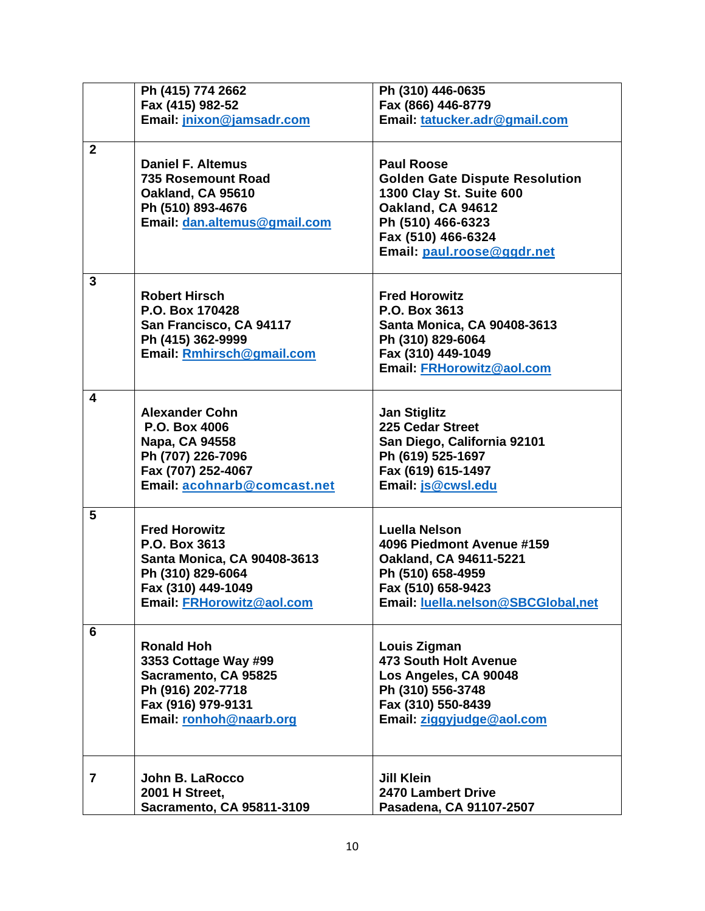|                         | Ph (415) 774 2662            | Ph (310) 446-0635                     |
|-------------------------|------------------------------|---------------------------------------|
|                         | Fax (415) 982-52             | Fax (866) 446-8779                    |
|                         | Email: jnixon@jamsadr.com    | Email: tatucker.adr@gmail.com         |
|                         |                              |                                       |
| $\overline{2}$          |                              |                                       |
|                         | <b>Daniel F. Altemus</b>     | <b>Paul Roose</b>                     |
|                         | 735 Rosemount Road           | <b>Golden Gate Dispute Resolution</b> |
|                         | Oakland, CA 95610            | 1300 Clay St. Suite 600               |
|                         | Ph (510) 893-4676            | Oakland, CA 94612                     |
|                         | Email: dan.altemus@gmail.com | Ph (510) 466-6323                     |
|                         |                              | Fax (510) 466-6324                    |
|                         |                              | Email: paul.roose@ggdr.net            |
|                         |                              |                                       |
| $\overline{3}$          |                              |                                       |
|                         | <b>Robert Hirsch</b>         | <b>Fred Horowitz</b>                  |
|                         | P.O. Box 170428              | P.O. Box 3613                         |
|                         | San Francisco, CA 94117      | <b>Santa Monica, CA 90408-3613</b>    |
|                         | Ph (415) 362-9999            | Ph (310) 829-6064                     |
|                         | Email: Rmhirsch@gmail.com    | Fax (310) 449-1049                    |
|                         |                              | Email: FRHorowitz@aol.com             |
|                         |                              |                                       |
| $\overline{\mathbf{4}}$ |                              |                                       |
|                         | <b>Alexander Cohn</b>        | <b>Jan Stiglitz</b>                   |
|                         | P.O. Box 4006                | 225 Cedar Street                      |
|                         | Napa, CA 94558               | San Diego, California 92101           |
|                         | Ph (707) 226-7096            | Ph (619) 525-1697                     |
|                         | Fax (707) 252-4067           | Fax (619) 615-1497                    |
|                         | Email: acohnarb@comcast.net  | Email: js@cwsl.edu                    |
|                         |                              |                                       |
| 5                       |                              |                                       |
|                         | <b>Fred Horowitz</b>         | Luella Nelson                         |
|                         | P.O. Box 3613                | 4096 Piedmont Avenue #159             |
|                         | Santa Monica, CA 90408-3613  | Oakland, CA 94611-5221                |
|                         | Ph (310) 829-6064            | Ph (510) 658-4959                     |
|                         | Fax (310) 449-1049           | Fax (510) 658-9423                    |
|                         | Email: FRHorowitz@aol.com    | Email: luella.nelson@SBCGlobal,net    |
|                         |                              |                                       |
| 6                       |                              |                                       |
|                         | <b>Ronald Hoh</b>            | Louis Zigman                          |
|                         | 3353 Cottage Way #99         | 473 South Holt Avenue                 |
|                         | Sacramento, CA 95825         | Los Angeles, CA 90048                 |
|                         | Ph (916) 202-7718            | Ph (310) 556-3748                     |
|                         | Fax (916) 979-9131           | Fax (310) 550-8439                    |
|                         | Email: ronhoh@naarb.org      | Email: ziggyjudge@aol.com             |
|                         |                              |                                       |
|                         |                              |                                       |
|                         |                              |                                       |
| 7                       | John B. LaRocco              | Jill Klein                            |
|                         | 2001 H Street,               | <b>2470 Lambert Drive</b>             |
|                         | Sacramento, CA 95811-3109    | Pasadena, CA 91107-2507               |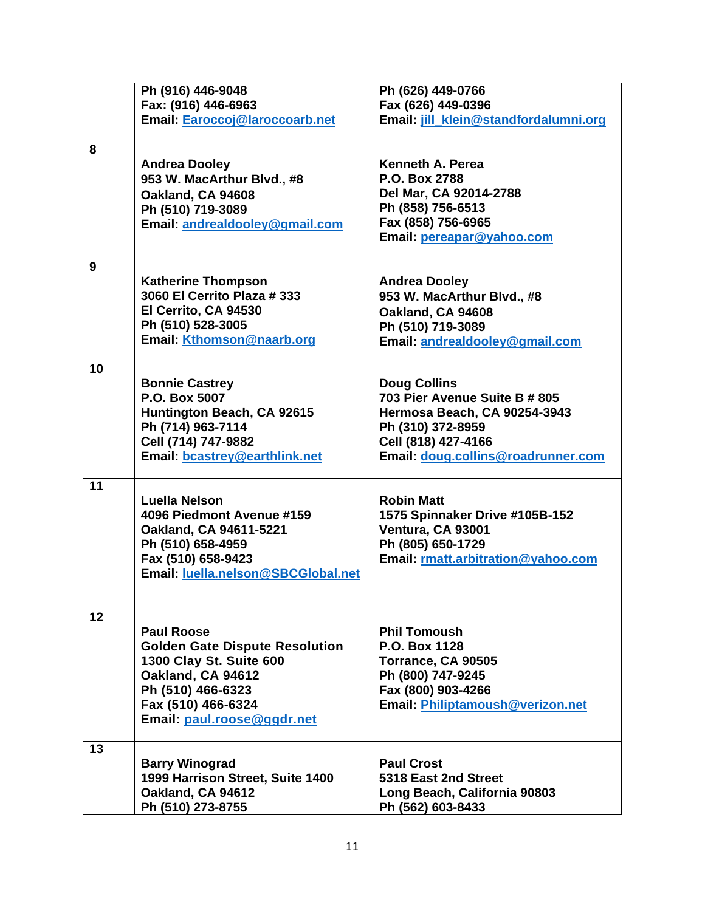|    | Ph (916) 446-9048                                                                                                                                                                   | Ph (626) 449-0766                                                                                                                                                      |
|----|-------------------------------------------------------------------------------------------------------------------------------------------------------------------------------------|------------------------------------------------------------------------------------------------------------------------------------------------------------------------|
|    | Fax: (916) 446-6963<br>Email: Earoccoj@laroccoarb.net                                                                                                                               | Fax (626) 449-0396<br>Email: jill_klein@standfordalumni.org                                                                                                            |
|    |                                                                                                                                                                                     |                                                                                                                                                                        |
| 8  | <b>Andrea Dooley</b><br>953 W. MacArthur Blvd., #8<br>Oakland, CA 94608<br>Ph (510) 719-3089<br>Email: andrealdooley@gmail.com                                                      | Kenneth A. Perea<br>P.O. Box 2788<br>Del Mar, CA 92014-2788<br>Ph (858) 756-6513<br>Fax (858) 756-6965<br>Email: pereapar@yahoo.com                                    |
| 9  | <b>Katherine Thompson</b><br>3060 El Cerrito Plaza # 333<br>El Cerrito, CA 94530<br>Ph (510) 528-3005<br>Email: Kthomson@naarb.org                                                  | <b>Andrea Dooley</b><br>953 W. MacArthur Blvd., #8<br>Oakland, CA 94608<br>Ph (510) 719-3089<br>Email: andrealdooley@gmail.com                                         |
| 10 | <b>Bonnie Castrey</b><br>P.O. Box 5007<br>Huntington Beach, CA 92615<br>Ph (714) 963-7114<br>Cell (714) 747-9882<br>Email: bcastrey@earthlink.net                                   | <b>Doug Collins</b><br>703 Pier Avenue Suite B # 805<br>Hermosa Beach, CA 90254-3943<br>Ph (310) 372-8959<br>Cell (818) 427-4166<br>Email: doug.collins@roadrunner.com |
| 11 | Luella Nelson<br>4096 Piedmont Avenue #159<br>Oakland, CA 94611-5221<br>Ph (510) 658-4959<br>Fax (510) 658-9423<br>Email: luella.nelson@SBCGlobal.net                               | <b>Robin Matt</b><br>1575 Spinnaker Drive #105B-152<br>Ventura, CA 93001<br>Ph (805) 650-1729<br>Email: rmatt.arbitration@yahoo.com                                    |
| 12 | <b>Paul Roose</b><br><b>Golden Gate Dispute Resolution</b><br>1300 Clay St. Suite 600<br>Oakland, CA 94612<br>Ph (510) 466-6323<br>Fax (510) 466-6324<br>Email: paul.roose@ggdr.net | <b>Phil Tomoush</b><br>P.O. Box 1128<br>Torrance, CA 90505<br>Ph (800) 747-9245<br>Fax (800) 903-4266<br>Email: Philiptamoush@verizon.net                              |
| 13 | <b>Barry Winograd</b><br>1999 Harrison Street, Suite 1400<br>Oakland, CA 94612<br>Ph (510) 273-8755                                                                                 | <b>Paul Crost</b><br>5318 East 2nd Street<br>Long Beach, California 90803<br>Ph (562) 603-8433                                                                         |